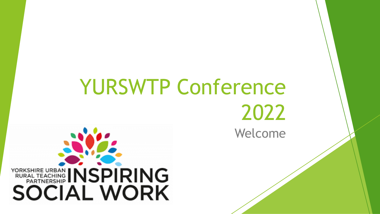# Welcome YURSWTP Conference 2022

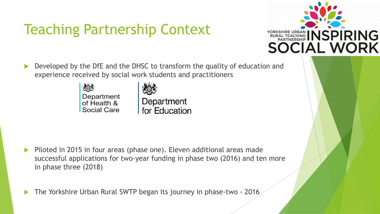# Teaching Partnership Context



 Developed by the DfE and the DHSC to transform the quality of education and experience received by social work students and practitioners

> Department of Health & **Social Care**

Department for Education

Piloted in 2015 in four areas (phase one). Eleven additional areas made successful applications for two-year funding in phase two (2016) and ten more in phase three (2018)

The Yorkshire Urban Rural SWTP began its journey in phase-two - 2016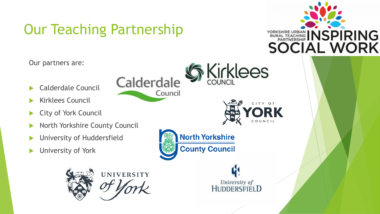# Our Teaching Partnership

**Calderdale** 

Council



Our partners are:

- Calderdale Council
- Kirklees Council
- ▶ City of York Council
- North Yorkshire County Council
- University of Huddersfield
- University of York





**North Yorkshire** 

**County Council** 

**Kirklees** 

CITY OF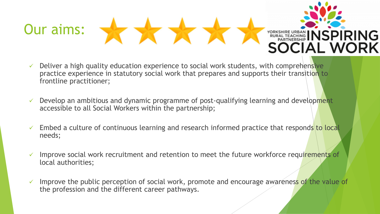

- $\checkmark$  Deliver a high quality education experience to social work students, with comprehensive practice experience in statutory social work that prepares and supports their transition to frontline practitioner;
- $\checkmark$  Develop an ambitious and dynamic programme of post-qualifying learning and development accessible to all Social Workers within the partnership;
- $\checkmark$  Embed a culture of continuous learning and research informed practice that responds to local needs;
- ✓ Improve social work recruitment and retention to meet the future workforce requirements of local authorities;
- $\checkmark$  Improve the public perception of social work, promote and encourage awareness of the value of the profession and the different career pathways.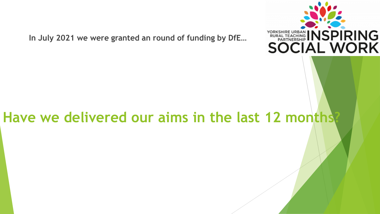

**In July 2021 we were granted an round of funding by DfE…** 

#### **Have we delivered our aims in the last 12 months?**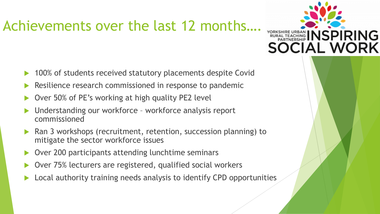## Achievements over the last 12 months….

- 100% of students received statutory placements despite Covid
- Resilience research commissioned in response to pandemic
- Over 50% of PE's working at high quality PE2 level
- Understanding our workforce workforce analysis report commissioned
- Ran 3 workshops (recruitment, retention, succession planning) to mitigate the sector workforce issues
- Over 200 participants attending lunchtime seminars
- Over 75% lecturers are registered, qualified social workers
- Local authority training needs analysis to identify CPD opportunities

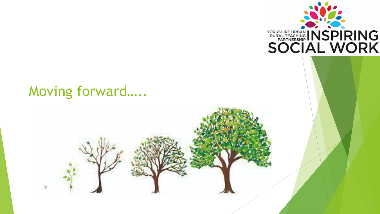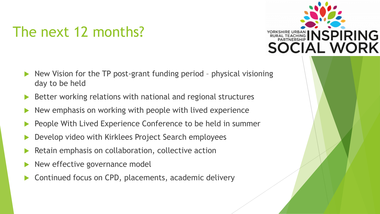#### The next 12 months?



- New Vision for the TP post-grant funding period physical visioning day to be held
- Better working relations with national and regional structures
- New emphasis on working with people with lived experience
- People With Lived Experience Conference to be held in summer
- Develop video with Kirklees Project Search employees
- Retain emphasis on collaboration, collective action
- New effective governance model
- Continued focus on CPD, placements, academic delivery